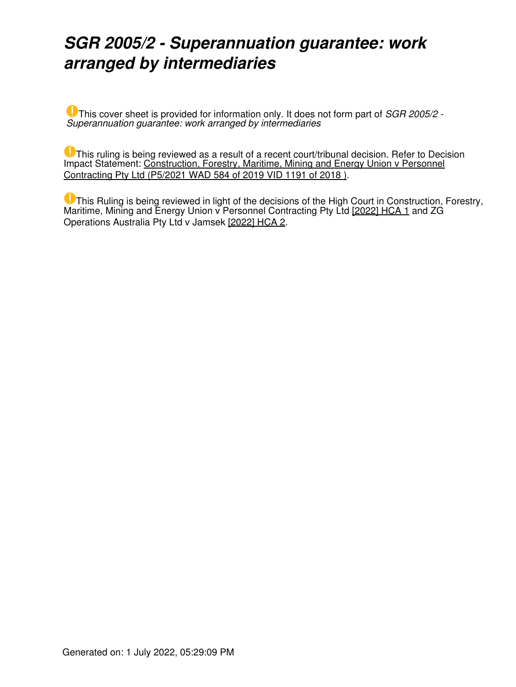## *SGR 2005/2 - Superannuation guarantee: work arranged by intermediaries*

This cover sheet is provided for information only. It does not form part of *SGR 2005/2 - Superannuation guarantee: work arranged by intermediaries*

**U** This ruling is being reviewed as a result of a recent court/tribunal decision. Refer to Decision Impact Statement: [Construction, Forestry, Maritime, Mining and Energy Union v Personnel](https://www.ato.gov.au/law/view/document?LocID=%22LIT%2FICD%2FP5%2F2021%2F00001%22&PiT=99991231235958) [Contracting Pty Ltd \(P5/2021 WAD 584 of 2019 VID 1191 of 2018 \).](https://www.ato.gov.au/law/view/document?LocID=%22LIT%2FICD%2FP5%2F2021%2F00001%22&PiT=99991231235958)

**U** This Ruling is being reviewed in light of the decisions of the High Court in Construction, Forestry, Maritime, Mining and Energy Union v Personnel Contracting Pty Ltd [2022] HCA 1 and ZG Operations Australia Pty Ltd v Jamsek [2022] HCA 2.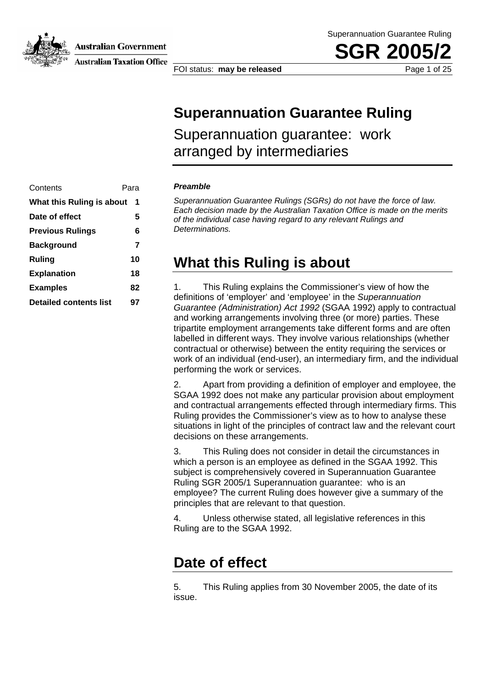**Australian Government** 



**Australian Taxation Office** 

**SGR 200** 

FOI status: **may be released Page 1 of 25** 

### **Superannuation Guarantee Ruling**

Superannuation guarantee: work arranged by intermediaries

| Contents                       | Para |  |
|--------------------------------|------|--|
| What this Ruling is about<br>1 |      |  |
| Date of effect                 | 5    |  |
| <b>Previous Rulings</b>        | 6    |  |
| <b>Background</b>              | 7    |  |
| Ruling                         | 10   |  |
| <b>Explanation</b>             | 18   |  |
| <b>Examples</b>                | 82   |  |
| <b>Detailed contents list</b>  | 97   |  |
|                                |      |  |

#### **Preamble**

*Superannuation Guarantee Rulings (SGRs) do not have the force of law. Each decision made by the Australian Taxation Office is made on the merits of the individual case having regard to any relevant Rulings and Determinations.* 

### **What this Ruling is about**

1. This Ruling explains the Commissioner's view of how the definitions of 'employer' and 'employee' in the *Superannuation Guarantee (Administration) Act 1992* (SGAA 1992) apply to contractual and working arrangements involving three (or more) parties. These tripartite employment arrangements take different forms and are often labelled in different ways. They involve various relationships (whether contractual or otherwise) between the entity requiring the services or work of an individual (end-user), an intermediary firm, and the individual performing the work or services.

2. Apart from providing a definition of employer and employee, the SGAA 1992 does not make any particular provision about employment and contractual arrangements effected through intermediary firms. This Ruling provides the Commissioner's view as to how to analyse these situations in light of the principles of contract law and the relevant court decisions on these arrangements.

3. This Ruling does not consider in detail the circumstances in which a person is an employee as defined in the SGAA 1992. This subject is comprehensively covered in Superannuation Guarantee Ruling SGR 2005/1 Superannuation guarantee: who is an employee? The current Ruling does however give a summary of the principles that are relevant to that question.

4. Unless otherwise stated, all legislative references in this Ruling are to the SGAA 1992.

### **Date of effect**

5. This Ruling applies from 30 November 2005, the date of its issue.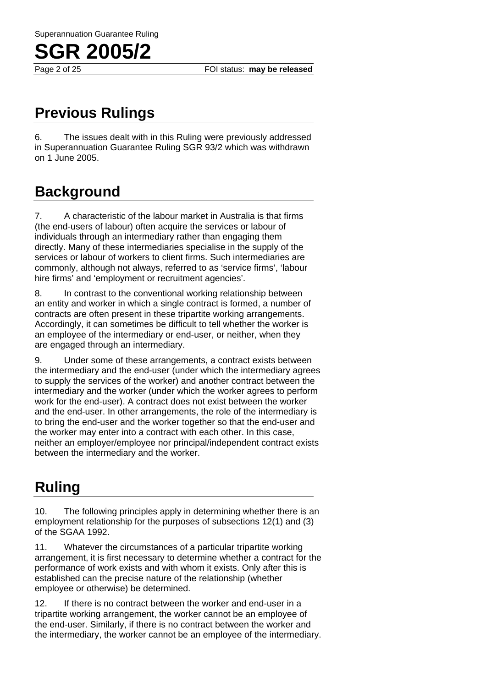Page 2 of 25 **FOI status: may be released** 

## **Previous Rulings**

6. The issues dealt with in this Ruling were previously addressed in Superannuation Guarantee Ruling SGR 93/2 which was withdrawn on 1 June 2005.

### **Background**

7. A characteristic of the labour market in Australia is that firms (the end-users of labour) often acquire the services or labour of individuals through an intermediary rather than engaging them directly. Many of these intermediaries specialise in the supply of the services or labour of workers to client firms. Such intermediaries are commonly, although not always, referred to as 'service firms', 'labour hire firms' and 'employment or recruitment agencies'.

8. In contrast to the conventional working relationship between an entity and worker in which a single contract is formed, a number of contracts are often present in these tripartite working arrangements. Accordingly, it can sometimes be difficult to tell whether the worker is an employee of the intermediary or end-user, or neither, when they are engaged through an intermediary.

9. Under some of these arrangements, a contract exists between the intermediary and the end-user (under which the intermediary agrees to supply the services of the worker) and another contract between the intermediary and the worker (under which the worker agrees to perform work for the end-user). A contract does not exist between the worker and the end-user. In other arrangements, the role of the intermediary is to bring the end-user and the worker together so that the end-user and the worker may enter into a contract with each other. In this case, neither an employer/employee nor principal/independent contract exists between the intermediary and the worker.

## **Ruling**

10. The following principles apply in determining whether there is an employment relationship for the purposes of subsections 12(1) and (3) of the SGAA 1992.

11. Whatever the circumstances of a particular tripartite working arrangement, it is first necessary to determine whether a contract for the performance of work exists and with whom it exists. Only after this is established can the precise nature of the relationship (whether employee or otherwise) be determined.

12. If there is no contract between the worker and end-user in a tripartite working arrangement, the worker cannot be an employee of the end-user. Similarly, if there is no contract between the worker and the intermediary, the worker cannot be an employee of the intermediary.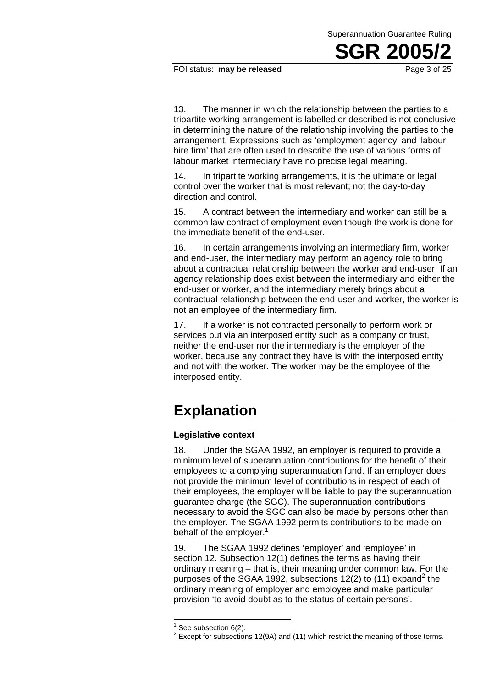FOI status: **may be released** Page 3 of 25

13. The manner in which the relationship between the parties to a tripartite working arrangement is labelled or described is not conclusive in determining the nature of the relationship involving the parties to the arrangement. Expressions such as 'employment agency' and 'labour hire firm' that are often used to describe the use of various forms of labour market intermediary have no precise legal meaning.

14. In tripartite working arrangements, it is the ultimate or legal control over the worker that is most relevant; not the day-to-day direction and control.

15. A contract between the intermediary and worker can still be a common law contract of employment even though the work is done for the immediate benefit of the end-user.

16. In certain arrangements involving an intermediary firm, worker and end-user, the intermediary may perform an agency role to bring about a contractual relationship between the worker and end-user. If an agency relationship does exist between the intermediary and either the end-user or worker, and the intermediary merely brings about a contractual relationship between the end-user and worker, the worker is not an employee of the intermediary firm.

17. If a worker is not contracted personally to perform work or services but via an interposed entity such as a company or trust, neither the end-user nor the intermediary is the employer of the worker, because any contract they have is with the interposed entity and not with the worker. The worker may be the employee of the interposed entity.

### **Explanation**

### **Legislative context**

18. Under the SGAA 1992, an employer is required to provide a minimum level of superannuation contributions for the benefit of their employees to a complying superannuation fund. If an employer does not provide the minimum level of contributions in respect of each of their employees, the employer will be liable to pay the superannuation guarantee charge (the SGC). The superannuation contributions necessary to avoid the SGC can also be made by persons other than the employer. The SGAA 1992 permits contributions to be made on behalf of the employer. $<sup>1</sup>$ </sup>

19. The SGAA 1992 defines 'employer' and 'employee' in section 12. Subsection 12(1) defines the terms as having their ordinary meaning – that is, their meaning under common law. For the purposes of the SGAA 1992, subsections 12(2) to (11) expand<sup>2</sup> the ordinary meaning of employer and employee and make particular provision 'to avoid doubt as to the status of certain persons'.

<sup>1</sup> See subsection 6(2).

 $2$  Except for subsections 12(9A) and (11) which restrict the meaning of those terms.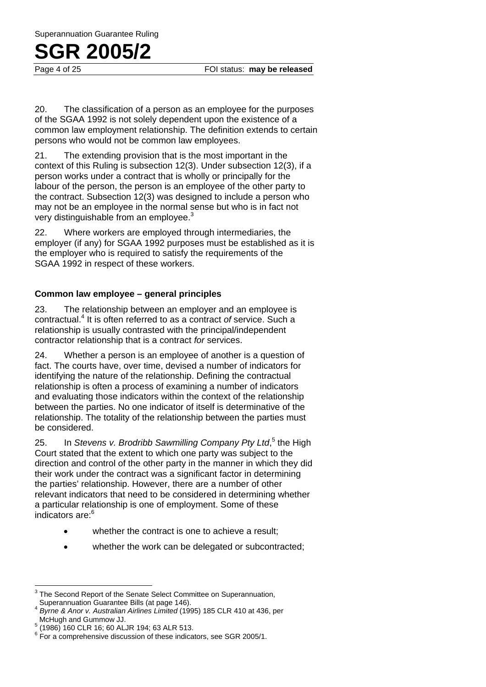Page 4 of 25 **FOI status: may be released** 

20. The classification of a person as an employee for the purposes of the SGAA 1992 is not solely dependent upon the existence of a common law employment relationship. The definition extends to certain persons who would not be common law employees.

21. The extending provision that is the most important in the context of this Ruling is subsection 12(3). Under subsection 12(3), if a person works under a contract that is wholly or principally for the labour of the person, the person is an employee of the other party to the contract. Subsection 12(3) was designed to include a person who may not be an employee in the normal sense but who is in fact not very distinguishable from an employee.<sup>3</sup>

22. Where workers are employed through intermediaries, the employer (if any) for SGAA 1992 purposes must be established as it is the employer who is required to satisfy the requirements of the SGAA 1992 in respect of these workers.

### **Common law employee – general principles**

23. The relationship between an employer and an employee is contractual.4 It is often referred to as a contract *of* service. Such a relationship is usually contrasted with the principal/independent contractor relationship that is a contract *for* services.

24. Whether a person is an employee of another is a question of fact. The courts have, over time, devised a number of indicators for identifying the nature of the relationship. Defining the contractual relationship is often a process of examining a number of indicators and evaluating those indicators within the context of the relationship between the parties. No one indicator of itself is determinative of the relationship. The totality of the relationship between the parties must be considered.

25. In *Stevens v. Brodribb Sawmilling Company Pty Ltd*,<sup>5</sup> the High Court stated that the extent to which one party was subject to the direction and control of the other party in the manner in which they did their work under the contract was a significant factor in determining the parties' relationship. However, there are a number of other relevant indicators that need to be considered in determining whether a particular relationship is one of employment. Some of these indicators are:<sup>6</sup>

- whether the contract is one to achieve a result;
- whether the work can be delegated or subcontracted;

 $3$  The Second Report of the Senate Select Committee on Superannuation, Superannuation Guarantee Bills (at page 146).

<sup>4</sup> *Byrne & Anor v. Australian Airlines Limited* (1995) 185 CLR 410 at 436, per McHugh and Gummow JJ.

 $^5$  (1986) 160 CLR 16; 60 ALJR 194; 63 ALR 513.

 $6$  For a comprehensive discussion of these indicators, see SGR 2005/1.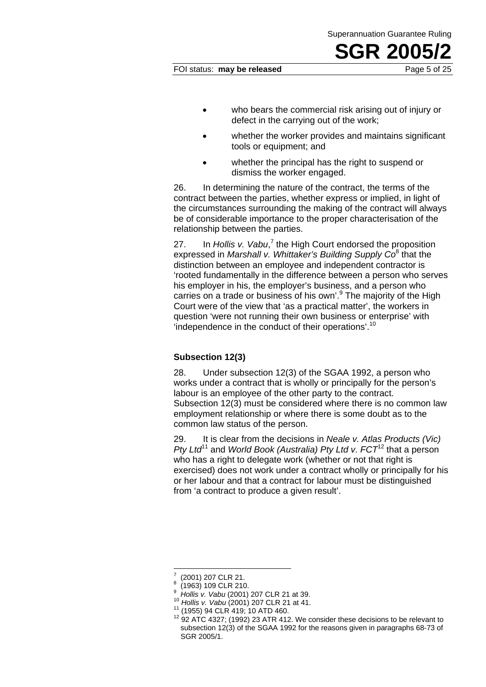Superannuation Guarantee Ruling

- who bears the commercial risk arising out of injury or defect in the carrying out of the work;
- whether the worker provides and maintains significant tools or equipment; and
- whether the principal has the right to suspend or dismiss the worker engaged.

26. In determining the nature of the contract, the terms of the contract between the parties, whether express or implied, in light of the circumstances surrounding the making of the contract will always be of considerable importance to the proper characterisation of the relationship between the parties.

27. In Hollis v. Vabu,<sup>7</sup> the High Court endorsed the proposition expressed in *Marshall v. Whittaker's Building Supply Co*<sup>8</sup> that the distinction between an employee and independent contractor is 'rooted fundamentally in the difference between a person who serves his employer in his, the employer's business, and a person who carries on a trade or business of his own'.<sup>9</sup> The majority of the High Court were of the view that 'as a practical matter', the workers in question 'were not running their own business or enterprise' with 'independence in the conduct of their operations'.<sup>10</sup>

### **Subsection 12(3)**

28. Under subsection 12(3) of the SGAA 1992, a person who works under a contract that is wholly or principally for the person's labour is an employee of the other party to the contract. Subsection 12(3) must be considered where there is no common law employment relationship or where there is some doubt as to the common law status of the person.

29. It is clear from the decisions in *Neale v. Atlas Products (Vic) Pty Ltd*<sup>11</sup> and *World Book (Australia) Pty Ltd v. FCT*12 that a person who has a right to delegate work (whether or not that right is exercised) does not work under a contract wholly or principally for his or her labour and that a contract for labour must be distinguished from 'a contract to produce a given result'.

<sup>7</sup> (2001) 207 CLR 21. 8

<sup>(1963) 109</sup> CLR 210.<br>Hollis v. Vabu (2001) 207 CLR 21 at 39. 9

<sup>10</sup> *Hollis v. Vabu* (2001) 207 CLR 21 at 41.<br><sup>11</sup> (1955) 94 CLR 419; 10 ATD 460.<br><sup>12</sup> 92 ATC 4327; (1992) 23 ATR 412. We consider these decisions to be relevant to subsection 12(3) of the SGAA 1992 for the reasons given in paragraphs 68-73 of SGR 2005/1.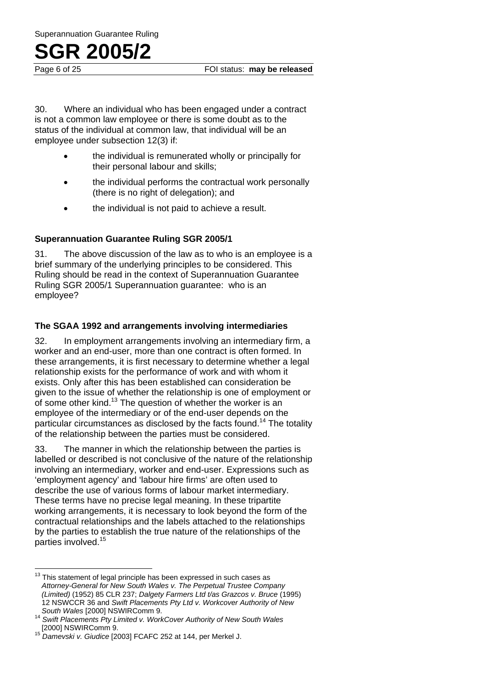Page 6 of 25 **FOI status: may be released** 

30. Where an individual who has been engaged under a contract is not a common law employee or there is some doubt as to the status of the individual at common law, that individual will be an employee under subsection 12(3) if:

- the individual is remunerated wholly or principally for their personal labour and skills;
- the individual performs the contractual work personally (there is no right of delegation); and
- the individual is not paid to achieve a result.

### **Superannuation Guarantee Ruling SGR 2005/1**

31. The above discussion of the law as to who is an employee is a brief summary of the underlying principles to be considered. This Ruling should be read in the context of Superannuation Guarantee Ruling SGR 2005/1 Superannuation guarantee: who is an employee?

### **The SGAA 1992 and arrangements involving intermediaries**

32. In employment arrangements involving an intermediary firm, a worker and an end-user, more than one contract is often formed. In these arrangements, it is first necessary to determine whether a legal relationship exists for the performance of work and with whom it exists. Only after this has been established can consideration be given to the issue of whether the relationship is one of employment or of some other kind.<sup>13</sup> The question of whether the worker is an employee of the intermediary or of the end-user depends on the particular circumstances as disclosed by the facts found.<sup>14</sup> The totality of the relationship between the parties must be considered.

33. The manner in which the relationship between the parties is labelled or described is not conclusive of the nature of the relationship involving an intermediary, worker and end-user. Expressions such as 'employment agency' and 'labour hire firms' are often used to describe the use of various forms of labour market intermediary. These terms have no precise legal meaning. In these tripartite working arrangements, it is necessary to look beyond the form of the contractual relationships and the labels attached to the relationships by the parties to establish the true nature of the relationships of the parties involved.<sup>15</sup>

 $13$  This statement of legal principle has been expressed in such cases as *Attorney-General for New South Wales v. The Perpetual Trustee Company (Limited)* (1952) 85 CLR 237; *Dalgety Farmers Ltd t/as Grazcos v. Bruce* (1995) 12 NSWCCR 36 and *Swift Placements Pty Ltd v. Workcover Authority of New* 

*South Wales* [2000] NSWIRComm 9. 14 *Swift Placements Pty Limited v. WorkCover Authority of New South Wales* 

<sup>15</sup> Damevski v. Giudice [2003] FCAFC 252 at 144, per Merkel J.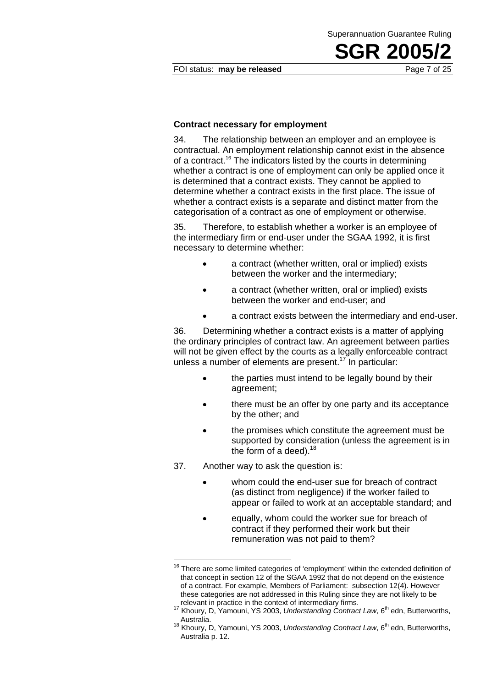FOI status: **may be released** Page 7 of 25

Superannuation Guarantee Ruling

**SGR 2005** 

#### **Contract necessary for employment**

34. The relationship between an employer and an employee is contractual. An employment relationship cannot exist in the absence of a contract.<sup>16</sup> The indicators listed by the courts in determining whether a contract is one of employment can only be applied once it is determined that a contract exists. They cannot be applied to determine whether a contract exists in the first place. The issue of whether a contract exists is a separate and distinct matter from the categorisation of a contract as one of employment or otherwise.

35. Therefore, to establish whether a worker is an employee of the intermediary firm or end-user under the SGAA 1992, it is first necessary to determine whether:

- a contract (whether written, oral or implied) exists between the worker and the intermediary;
- a contract (whether written, oral or implied) exists between the worker and end-user; and
- a contract exists between the intermediary and end-user.

36. Determining whether a contract exists is a matter of applying the ordinary principles of contract law. An agreement between parties will not be given effect by the courts as a legally enforceable contract unless a number of elements are present.<sup>17</sup> In particular:

- the parties must intend to be legally bound by their agreement;
- there must be an offer by one party and its acceptance by the other; and
- the promises which constitute the agreement must be supported by consideration (unless the agreement is in the form of a deed).<sup>18</sup>
- 37. Another way to ask the question is:

- whom could the end-user sue for breach of contract (as distinct from negligence) if the worker failed to appear or failed to work at an acceptable standard; and
- equally, whom could the worker sue for breach of contract if they performed their work but their remuneration was not paid to them?

 $16$  There are some limited categories of 'employment' within the extended definition of that concept in section 12 of the SGAA 1992 that do not depend on the existence of a contract. For example, Members of Parliament: subsection 12(4). However these categories are not addressed in this Ruling since they are not likely to be relevant in practice in the context of intermediary firms.<br><sup>17</sup> Khoury, D, Yamouni, YS 2003, *Understanding Contract Law*, 6<sup>th</sup> edn, Butterworths,

Australia.<br><sup>18</sup> Khoury, D, Yamouni, YS 2003, *Understanding Contract Law*, 6<sup>th</sup> edn, Butterworths, Australia p. 12.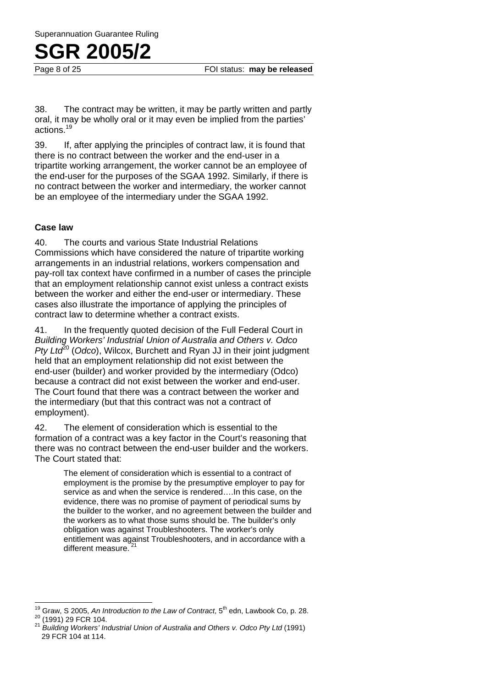Page 8 of 25 **FOI status: may be released** 

38. The contract may be written, it may be partly written and partly oral, it may be wholly oral or it may even be implied from the parties' actions.19

39. If, after applying the principles of contract law, it is found that there is no contract between the worker and the end-user in a tripartite working arrangement, the worker cannot be an employee of the end-user for the purposes of the SGAA 1992. Similarly, if there is no contract between the worker and intermediary, the worker cannot be an employee of the intermediary under the SGAA 1992.

### **Case law**

 $\overline{a}$ 

40. The courts and various State Industrial Relations Commissions which have considered the nature of tripartite working arrangements in an industrial relations, workers compensation and pay-roll tax context have confirmed in a number of cases the principle that an employment relationship cannot exist unless a contract exists between the worker and either the end-user or intermediary. These cases also illustrate the importance of applying the principles of contract law to determine whether a contract exists.

41. In the frequently quoted decision of the Full Federal Court in *Building Workers' Industrial Union of Australia and Others v. Odco Pty Ltd*<sup>20</sup> (*Odco*), Wilcox, Burchett and Ryan JJ in their joint judgment held that an employment relationship did not exist between the end-user (builder) and worker provided by the intermediary (Odco) because a contract did not exist between the worker and end-user. The Court found that there was a contract between the worker and the intermediary (but that this contract was not a contract of employment).

42. The element of consideration which is essential to the formation of a contract was a key factor in the Court's reasoning that there was no contract between the end-user builder and the workers. The Court stated that:

> The element of consideration which is essential to a contract of employment is the promise by the presumptive employer to pay for service as and when the service is rendered….In this case, on the evidence, there was no promise of payment of periodical sums by the builder to the worker, and no agreement between the builder and the workers as to what those sums should be. The builder's only obligation was against Troubleshooters. The worker's only entitlement was against Troubleshooters, and in accordance with a different measure.

<sup>&</sup>lt;sup>19</sup> Graw, S 2005, *An Introduction to the Law of Contract*, 5<sup>th</sup> edn, Lawbook Co, p. 28.<br><sup>20</sup> (1991) 29 FCR 104.<br><sup>21</sup> *Building Workers' Industrial Union of Australia and Others v. Odco Pty Ltd (1991)* 

<sup>29</sup> FCR 104 at 114.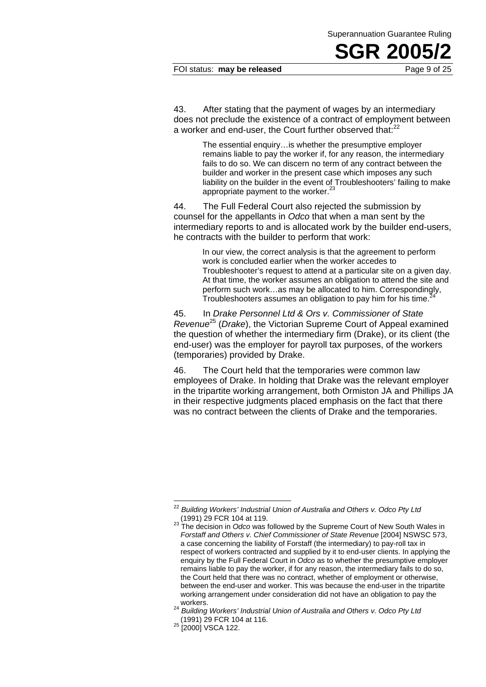#### FOI status: **may be released** Page 9 of 25

43. After stating that the payment of wages by an intermediary does not preclude the existence of a contract of employment between a worker and end-user, the Court further observed that:<sup>22</sup>

> The essential enquiry…is whether the presumptive employer remains liable to pay the worker if, for any reason, the intermediary fails to do so. We can discern no term of any contract between the builder and worker in the present case which imposes any such liability on the builder in the event of Troubleshooters' failing to make appropriate payment to the worker.<sup>23</sup>

44. The Full Federal Court also rejected the submission by counsel for the appellants in *Odco* that when a man sent by the intermediary reports to and is allocated work by the builder end-users, he contracts with the builder to perform that work:

> In our view, the correct analysis is that the agreement to perform work is concluded earlier when the worker accedes to Troubleshooter's request to attend at a particular site on a given day. At that time, the worker assumes an obligation to attend the site and perform such work…as may be allocated to him. Correspondingly, Troubleshooters assumes an obligation to pay him for his time.

45. In *Drake Personnel Ltd & Ors v. Commissioner of State Revenue*25 (*Drake*), the Victorian Supreme Court of Appeal examined the question of whether the intermediary firm (Drake), or its client (the end-user) was the employer for payroll tax purposes, of the workers (temporaries) provided by Drake.

46. The Court held that the temporaries were common law employees of Drake. In holding that Drake was the relevant employer in the tripartite working arrangement, both Ormiston JA and Phillips JA in their respective judgments placed emphasis on the fact that there was no contract between the clients of Drake and the temporaries.

<sup>22</sup> Building Workers' Industrial Union of Australia and Others v. Odco Pty Ltd (1991) 29 FCR 104 at 119.

<sup>(1991) 29</sup> FCR 104 at 119. 23 The decision in *Odco* was followed by the Supreme Court of New South Wales in *Forstaff and Others v. Chief Commissioner of State Revenue* [2004] NSWSC 573, a case concerning the liability of Forstaff (the intermediary) to pay-roll tax in respect of workers contracted and supplied by it to end-user clients. In applying the enquiry by the Full Federal Court in *Odco* as to whether the presumptive employer remains liable to pay the worker, if for any reason, the intermediary fails to do so, the Court held that there was no contract, whether of employment or otherwise, between the end-user and worker. This was because the end-user in the tripartite working arrangement under consideration did not have an obligation to pay the

workers.<br><sup>24</sup> *Building Workers' Industrial Union of Australia and Others v. Odco Pty Ltd*<br>(1991) 29 FCR 104 at 116.

<sup>&</sup>lt;sup>25</sup> [2000] VSCA 122.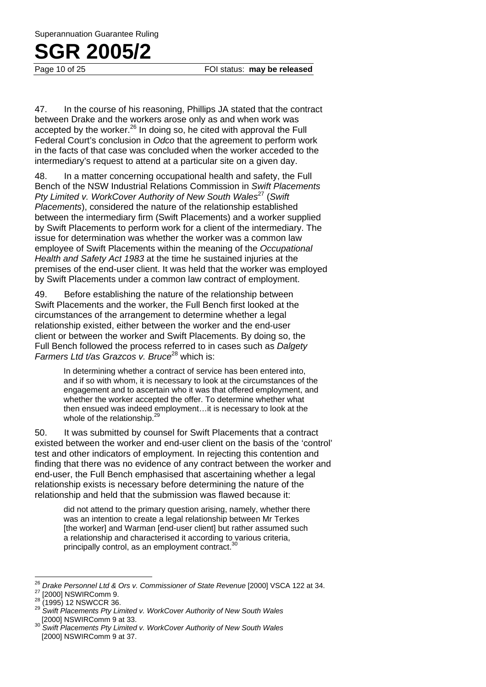Page 10 of 25 **FOI status: may be released** 

47. In the course of his reasoning, Phillips JA stated that the contract between Drake and the workers arose only as and when work was accepted by the worker.<sup>26</sup> In doing so, he cited with approval the Full Federal Court's conclusion in *Odco* that the agreement to perform work in the facts of that case was concluded when the worker acceded to the intermediary's request to attend at a particular site on a given day.

48. In a matter concerning occupational health and safety, the Full Bench of the NSW Industrial Relations Commission in *Swift Placements Pty Limited v. WorkCover Authority of New South Wales***<sup>27</sup> (Swift** *Placements*), considered the nature of the relationship established between the intermediary firm (Swift Placements) and a worker supplied by Swift Placements to perform work for a client of the intermediary. The issue for determination was whether the worker was a common law employee of Swift Placements within the meaning of the *Occupational Health and Safety Act 1983* at the time he sustained injuries at the premises of the end-user client. It was held that the worker was employed by Swift Placements under a common law contract of employment.

49. Before establishing the nature of the relationship between Swift Placements and the worker, the Full Bench first looked at the circumstances of the arrangement to determine whether a legal relationship existed, either between the worker and the end-user client or between the worker and Swift Placements. By doing so, the Full Bench followed the process referred to in cases such as *Dalgety Farmers Ltd t/as Grazcos v. Bruce*<sup>28</sup> which is:

> In determining whether a contract of service has been entered into, and if so with whom, it is necessary to look at the circumstances of the engagement and to ascertain who it was that offered employment, and whether the worker accepted the offer. To determine whether what then ensued was indeed employment…it is necessary to look at the whole of the relationship.<sup>2</sup>

50. It was submitted by counsel for Swift Placements that a contract existed between the worker and end-user client on the basis of the 'control' test and other indicators of employment. In rejecting this contention and finding that there was no evidence of any contract between the worker and end-user, the Full Bench emphasised that ascertaining whether a legal relationship exists is necessary before determining the nature of the relationship and held that the submission was flawed because it:

did not attend to the primary question arising, namely, whether there was an intention to create a legal relationship between Mr Terkes [the worker] and Warman [end-user client] but rather assumed such a relationship and characterised it according to various criteria, principally control, as an employment contract.<sup>3</sup>

<sup>26</sup> 

<sup>&</sup>lt;sup>26</sup> *Drake Personnel Ltd & Ors v. Commissioner of State Revenue* [2000] VSCA 122 at 34.<br><sup>27</sup> [2000] NSWIRComm 9.<br><sup>28</sup> (1995) 12 NSWCCR 36. <sup>29</sup> *Swift Placements Pty Limited v. WorkCover Authority of New South Wales* [200

<sup>[2000]</sup> NSWIRComm 9 at 33. 30 *Swift Placements Pty Limited v. WorkCover Authority of New South Wales*  [2000] NSWIRComm 9 at 37.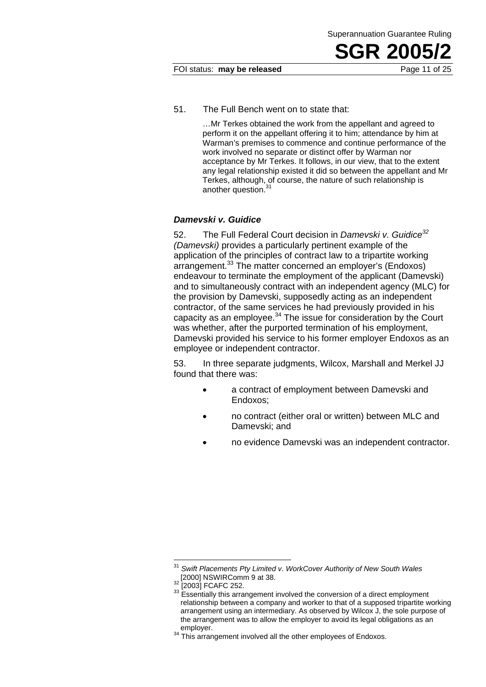#### FOI status: **may be released** Page 11 of 25

51. The Full Bench went on to state that:

…Mr Terkes obtained the work from the appellant and agreed to perform it on the appellant offering it to him; attendance by him at Warman's premises to commence and continue performance of the work involved no separate or distinct offer by Warman nor acceptance by Mr Terkes. It follows, in our view, that to the extent any legal relationship existed it did so between the appellant and Mr Terkes, although, of course, the nature of such relationship is another question.

### *Damevski v. Guidice*

52. The Full Federal Court decision in *Damevski v. Guidice<sup>32</sup> (Damevski)* provides a particularly pertinent example of the application of the principles of contract law to a tripartite working arrangement.33 The matter concerned an employer's (Endoxos) endeavour to terminate the employment of the applicant (Damevski) and to simultaneously contract with an independent agency (MLC) for the provision by Damevski, supposedly acting as an independent contractor, of the same services he had previously provided in his capacity as an employee. $34$  The issue for consideration by the Court was whether, after the purported termination of his employment, Damevski provided his service to his former employer Endoxos as an employee or independent contractor.

53. In three separate judgments, Wilcox, Marshall and Merkel JJ found that there was:

- a contract of employment between Damevski and Endoxos;
- no contract (either oral or written) between MLC and Damevski; and
- no evidence Damevski was an independent contractor.

Swift Placements Pty Limited v. WorkCover Authority of New South Wales **[2000]** NSWIRComm 9 at 38.

 $\frac{32}{32}$  [2003] FCAFC 252.  $\frac{32}{33}$  Essentially this arrangement involved the conversion of a direct employment relationship between a company and worker to that of a supposed tripartite working arrangement using an intermediary. As observed by Wilcox J, the sole purpose of the arrangement was to allow the employer to avoid its legal obligations as an

 $34$  This arrangement involved all the other employees of Endoxos.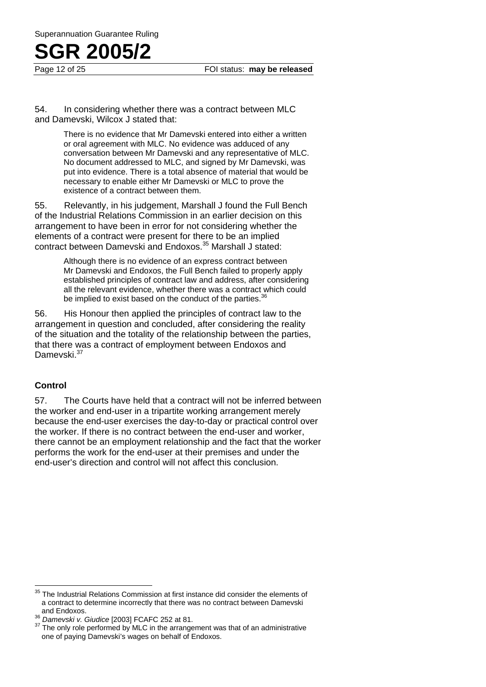Page 12 of 25 **FOI status: may be released** 

54. In considering whether there was a contract between MLC and Damevski, Wilcox J stated that:

> There is no evidence that Mr Damevski entered into either a written or oral agreement with MLC. No evidence was adduced of any conversation between Mr Damevski and any representative of MLC. No document addressed to MLC, and signed by Mr Damevski, was put into evidence. There is a total absence of material that would be necessary to enable either Mr Damevski or MLC to prove the existence of a contract between them.

55. Relevantly, in his judgement, Marshall J found the Full Bench of the Industrial Relations Commission in an earlier decision on this arrangement to have been in error for not considering whether the elements of a contract were present for there to be an implied contract between Damevski and Endoxos.35 Marshall J stated:

> Although there is no evidence of an express contract between Mr Damevski and Endoxos, the Full Bench failed to properly apply established principles of contract law and address, after considering all the relevant evidence, whether there was a contract which could be implied to exist based on the conduct of the parties.<sup>36</sup>

56. His Honour then applied the principles of contract law to the arrangement in question and concluded, after considering the reality of the situation and the totality of the relationship between the parties, that there was a contract of employment between Endoxos and Dameyski<sup>37</sup>

### **Control**

57. The Courts have held that a contract will not be inferred between the worker and end-user in a tripartite working arrangement merely because the end-user exercises the day-to-day or practical control over the worker. If there is no contract between the end-user and worker, there cannot be an employment relationship and the fact that the worker performs the work for the end-user at their premises and under the end-user's direction and control will not affect this conclusion.

<sup>35</sup> The Industrial Relations Commission at first instance did consider the elements of a contract to determine incorrectly that there was no contract between Damevski

and Endoxos.<br><sup>36</sup> *Damevski v. Giudice* [2003] FCAFC 252 at 81.<br><sup>37</sup> The only role performed by MLC in the arrangement was that of an administrative one of paying Damevski's wages on behalf of Endoxos.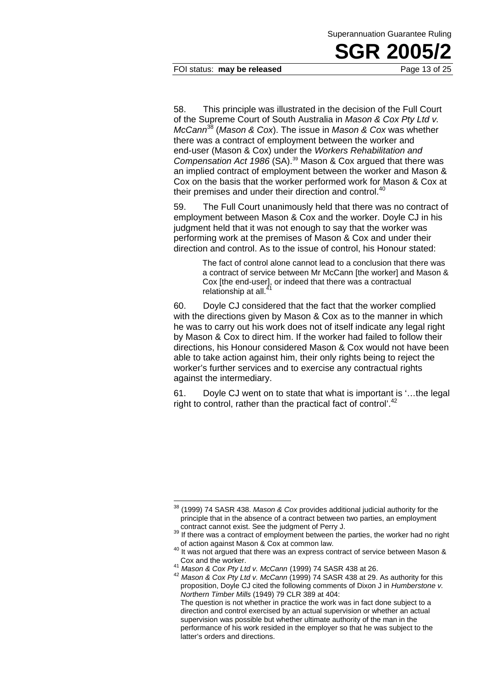FOI status: **may be released** Page 13 of 25

58. This principle was illustrated in the decision of the Full Court of the Supreme Court of South Australia in *Mason & Cox Pty Ltd v. McCann*<sup>38</sup> (*Mason & Cox*). The issue in *Mason & Cox* was whether there was a contract of employment between the worker and end-user (Mason & Cox) under the *Workers Rehabilitation and Compensation Act 1986* (SA).39 Mason & Cox argued that there was an implied contract of employment between the worker and Mason & Cox on the basis that the worker performed work for Mason & Cox at their premises and under their direction and control.<sup>40</sup>

59. The Full Court unanimously held that there was no contract of employment between Mason & Cox and the worker. Doyle CJ in his judgment held that it was not enough to say that the worker was performing work at the premises of Mason & Cox and under their direction and control. As to the issue of control, his Honour stated:

> The fact of control alone cannot lead to a conclusion that there was a contract of service between Mr McCann [the worker] and Mason & Cox [the end-user], or indeed that there was a contractual relationship at all.

60. Doyle CJ considered that the fact that the worker complied with the directions given by Mason & Cox as to the manner in which he was to carry out his work does not of itself indicate any legal right by Mason & Cox to direct him. If the worker had failed to follow their directions, his Honour considered Mason & Cox would not have been able to take action against him, their only rights being to reject the worker's further services and to exercise any contractual rights against the intermediary.

61. Doyle CJ went on to state that what is important is '…the legal right to control, rather than the practical fact of control'.<sup>42</sup>

<sup>38 (1999) 74</sup> SASR 438. *Mason & Cox* provides additional judicial authority for the principle that in the absence of a contract between two parties, an employment

contract cannot exist. See the judgment of Perry J.<br><sup>39</sup> If there was a contract of employment between the parties, the worker had no right<br>of action against Mason & Cox at common law.

of action against Mason & Cox at common law. 40 It was not argued that there was an express contract of service between Mason &

Cox and the worker. 41 *Mason & Cox Pty Ltd v. McCann* (1999) 74 SASR 438 at 26. 42 *Mason & Cox Pty Ltd v. McCann* (1999) 74 SASR 438 at 29. As authority for this proposition, Doyle CJ cited the following comments of Dixon J in *Humberstone v. Northern Timber Mills* (1949) 79 CLR 389 at 404: The question is not whether in practice the work was in fact done subject to a direction and control exercised by an actual supervision or whether an actual supervision was possible but whether ultimate authority of the man in the performance of his work resided in the employer so that he was subject to the latter's orders and directions.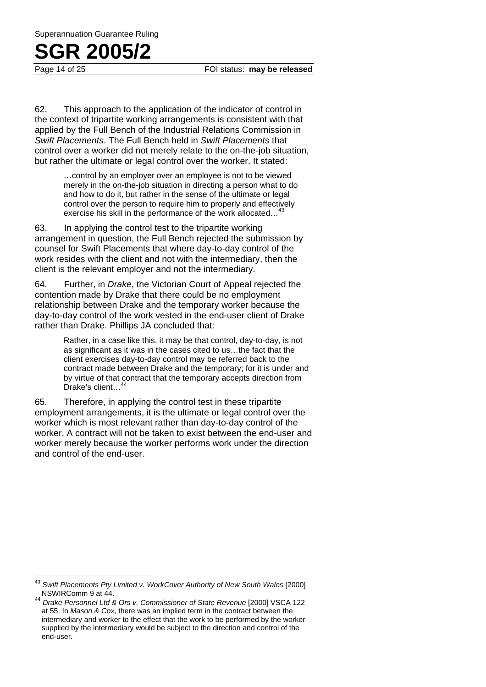Page 14 of 25 FOI status: **may be released**

62. This approach to the application of the indicator of control in the context of tripartite working arrangements is consistent with that applied by the Full Bench of the Industrial Relations Commission in *Swift Placements*. The Full Bench held in *Swift Placements* that control over a worker did not merely relate to the on-the-job situation, but rather the ultimate or legal control over the worker. It stated:

> …control by an employer over an employee is not to be viewed merely in the on-the-job situation in directing a person what to do and how to do it, but rather in the sense of the ultimate or legal control over the person to require him to properly and effectively exercise his skill in the performance of the work allocated...<sup>4</sup>

63. In applying the control test to the tripartite working arrangement in question, the Full Bench rejected the submission by counsel for Swift Placements that where day-to-day control of the work resides with the client and not with the intermediary, then the client is the relevant employer and not the intermediary.

64. Further, in *Drake*, the Victorian Court of Appeal rejected the contention made by Drake that there could be no employment relationship between Drake and the temporary worker because the day-to-day control of the work vested in the end-user client of Drake rather than Drake. Phillips JA concluded that:

> Rather, in a case like this, it may be that control, day-to-day, is not as significant as it was in the cases cited to us…the fact that the client exercises day-to-day control may be referred back to the contract made between Drake and the temporary; for it is under and by virtue of that contract that the temporary accepts direction from Drake's client...<sup>4</sup>

65. Therefore, in applying the control test in these tripartite employment arrangements, it is the ultimate or legal control over the worker which is most relevant rather than day-to-day control of the worker. A contract will not be taken to exist between the end-user and worker merely because the worker performs work under the direction and control of the end-user.

<sup>43</sup> <sup>43</sup> *Swift Placements Pty Limited v. WorkCover Authority of New South Wales* [2000] NSWIRComm 9 at 44.

<sup>44</sup> *Drake Personnel Ltd & Ors v. Commissioner of State Revenue* [2000] VSCA 122 at 55. In *Mason & Cox*, there was an implied term in the contract between the intermediary and worker to the effect that the work to be performed by the worker supplied by the intermediary would be subject to the direction and control of the end-user.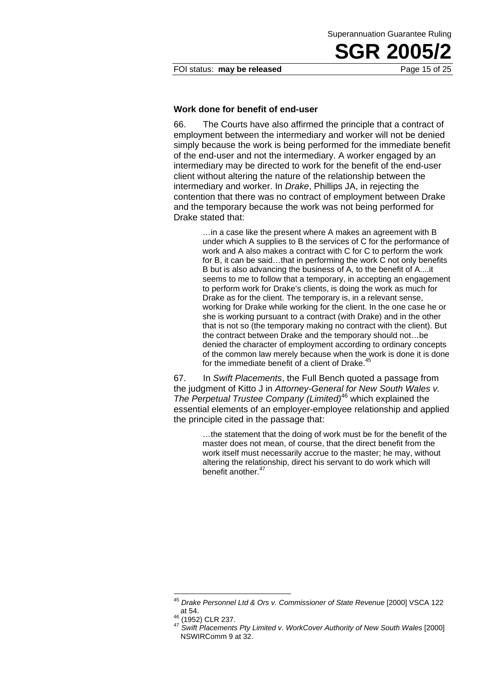FOI status: **may be released** Page 15 of 25

### **Work done for benefit of end-user**

66. The Courts have also affirmed the principle that a contract of employment between the intermediary and worker will not be denied simply because the work is being performed for the immediate benefit of the end-user and not the intermediary. A worker engaged by an intermediary may be directed to work for the benefit of the end-user client without altering the nature of the relationship between the intermediary and worker. In *Drake*, Phillips JA, in rejecting the contention that there was no contract of employment between Drake and the temporary because the work was not being performed for Drake stated that:

> …in a case like the present where A makes an agreement with B under which A supplies to B the services of C for the performance of work and A also makes a contract with C for C to perform the work for B, it can be said…that in performing the work C not only benefits B but is also advancing the business of A, to the benefit of A....it seems to me to follow that a temporary, in accepting an engagement to perform work for Drake's clients, is doing the work as much for Drake as for the client. The temporary is, in a relevant sense, working for Drake while working for the client. In the one case he or she is working pursuant to a contract (with Drake) and in the other that is not so (the temporary making no contract with the client). But the contract between Drake and the temporary should not…be denied the character of employment according to ordinary concepts of the common law merely because when the work is done it is done for the immediate benefit of a client of Drake. $45$

67. In *Swift Placements*, the Full Bench quoted a passage from the judgment of Kitto J in *Attorney-General for New South Wales v. The Perpetual Trustee Company (Limited)*46 which explained the essential elements of an employer-employee relationship and applied the principle cited in the passage that:

> …the statement that the doing of work must be for the benefit of the master does not mean, of course, that the direct benefit from the work itself must necessarily accrue to the master; he may, without altering the relationship, direct his servant to do work which will benefit another.<sup>47</sup>

 $\overline{a}$ <sup>45</sup> Drake Personnel Ltd & Ors v. Commissioner of State Revenue [2000] VSCA 122 at 54. 46 (1952) CLR 237. 47 *Swift Placements Pty Limited v. WorkCover Authority of New South Wales* [2000]

NSWIRComm 9 at 32.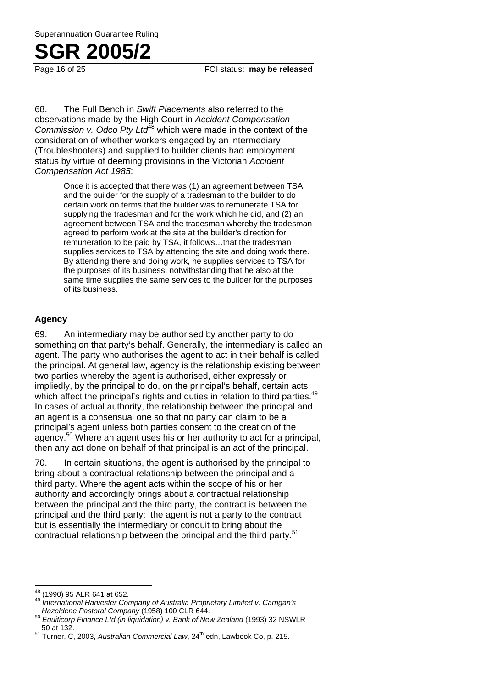Page 16 of 25 FOI status: **may be released**

68. The Full Bench in *Swift Placements* also referred to the observations made by the High Court in *Accident Compensation Commission v. Odco Pty Ltd*<sup>48</sup> which were made in the context of the consideration of whether workers engaged by an intermediary (Troubleshooters) and supplied to builder clients had employment status by virtue of deeming provisions in the Victorian *Accident Compensation Act 1985*:

> Once it is accepted that there was (1) an agreement between TSA and the builder for the supply of a tradesman to the builder to do certain work on terms that the builder was to remunerate TSA for supplying the tradesman and for the work which he did, and (2) an agreement between TSA and the tradesman whereby the tradesman agreed to perform work at the site at the builder's direction for remuneration to be paid by TSA, it follows…that the tradesman supplies services to TSA by attending the site and doing work there. By attending there and doing work, he supplies services to TSA for the purposes of its business, notwithstanding that he also at the same time supplies the same services to the builder for the purposes of its business.

### **Agency**

69. An intermediary may be authorised by another party to do something on that party's behalf. Generally, the intermediary is called an agent. The party who authorises the agent to act in their behalf is called the principal. At general law, agency is the relationship existing between two parties whereby the agent is authorised, either expressly or impliedly, by the principal to do, on the principal's behalf, certain acts which affect the principal's rights and duties in relation to third parties.<sup>49</sup> In cases of actual authority, the relationship between the principal and an agent is a consensual one so that no party can claim to be a principal's agent unless both parties consent to the creation of the agency.<sup>50</sup> Where an agent uses his or her authority to act for a principal, then any act done on behalf of that principal is an act of the principal.

70. In certain situations, the agent is authorised by the principal to bring about a contractual relationship between the principal and a third party. Where the agent acts within the scope of his or her authority and accordingly brings about a contractual relationship between the principal and the third party, the contract is between the principal and the third party: the agent is not a party to the contract but is essentially the intermediary or conduit to bring about the contractual relationship between the principal and the third party.<sup>51</sup>

<sup>48</sup> 

<sup>&</sup>lt;sup>48</sup> (1990) 95 ALR 641 at 652.<br><sup>49</sup> International Harvester Company of Australia Proprietary Limited v. Carrigan's

*Hazeldene Pastoral Company* (1958) 100 CLR 644.<br><sup>50</sup> *Equiticorp Finance Ltd (in liquidation) v. Bank of New Zealand* (1993) 32 NSWLR<br>50 at 132.

<sup>&</sup>lt;sup>51</sup> Turner, C, 2003, Australian Commercial Law, 24<sup>th</sup> edn, Lawbook Co, p. 215.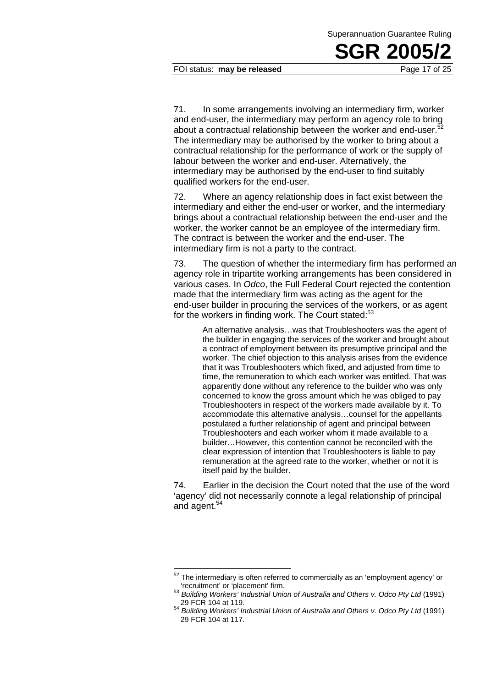### FOI status: **may be released** Page 17 of 25

71. In some arrangements involving an intermediary firm, worker and end-user, the intermediary may perform an agency role to bring about a contractual relationship between the worker and end-user.<sup>5</sup> The intermediary may be authorised by the worker to bring about a contractual relationship for the performance of work or the supply of labour between the worker and end-user. Alternatively, the intermediary may be authorised by the end-user to find suitably qualified workers for the end-user.

72. Where an agency relationship does in fact exist between the intermediary and either the end-user or worker, and the intermediary brings about a contractual relationship between the end-user and the worker, the worker cannot be an employee of the intermediary firm. The contract is between the worker and the end-user. The intermediary firm is not a party to the contract.

73. The question of whether the intermediary firm has performed an agency role in tripartite working arrangements has been considered in various cases. In *Odco*, the Full Federal Court rejected the contention made that the intermediary firm was acting as the agent for the end-user builder in procuring the services of the workers, or as agent for the workers in finding work. The Court stated:<sup>53</sup>

> An alternative analysis…was that Troubleshooters was the agent of the builder in engaging the services of the worker and brought about a contract of employment between its presumptive principal and the worker. The chief objection to this analysis arises from the evidence that it was Troubleshooters which fixed, and adjusted from time to time, the remuneration to which each worker was entitled. That was apparently done without any reference to the builder who was only concerned to know the gross amount which he was obliged to pay Troubleshooters in respect of the workers made available by it. To accommodate this alternative analysis…counsel for the appellants postulated a further relationship of agent and principal between Troubleshooters and each worker whom it made available to a builder…However, this contention cannot be reconciled with the clear expression of intention that Troubleshooters is liable to pay remuneration at the agreed rate to the worker, whether or not it is itself paid by the builder.

74. Earlier in the decision the Court noted that the use of the word 'agency' did not necessarily connote a legal relationship of principal and agent.<sup>54</sup>

 $52$  The intermediary is often referred to commercially as an 'employment agency' or

<sup>&#</sup>x27;recruitment' or 'placement' firm. 53 *Building Workers' Industrial Union of Australia and Others v. Odco Pty Ltd* (1991)

<sup>29</sup> FCR 104 at 119. 54 *Building Workers' Industrial Union of Australia and Others v. Odco Pty Ltd* (1991) 29 FCR 104 at 117.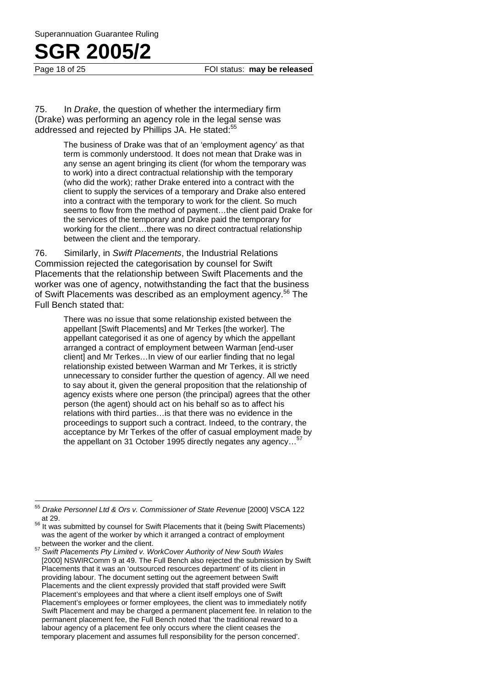Page 18 of 25 **FOI status: may be released** 

75. In *Drake*, the question of whether the intermediary firm (Drake) was performing an agency role in the legal sense was addressed and rejected by Phillips JA. He stated:<sup>55</sup>

> The business of Drake was that of an 'employment agency' as that term is commonly understood. It does not mean that Drake was in any sense an agent bringing its client (for whom the temporary was to work) into a direct contractual relationship with the temporary (who did the work); rather Drake entered into a contract with the client to supply the services of a temporary and Drake also entered into a contract with the temporary to work for the client. So much seems to flow from the method of payment…the client paid Drake for the services of the temporary and Drake paid the temporary for working for the client…there was no direct contractual relationship between the client and the temporary.

76. Similarly, in *Swift Placements*, the Industrial Relations Commission rejected the categorisation by counsel for Swift Placements that the relationship between Swift Placements and the worker was one of agency, notwithstanding the fact that the business of Swift Placements was described as an employment agency.<sup>56</sup> The Full Bench stated that:

> There was no issue that some relationship existed between the appellant [Swift Placements] and Mr Terkes [the worker]. The appellant categorised it as one of agency by which the appellant arranged a contract of employment between Warman [end-user client] and Mr Terkes...In view of our earlier finding that no legal relationship existed between Warman and Mr Terkes, it is strictly unnecessary to consider further the question of agency. All we need to say about it, given the general proposition that the relationship of agency exists where one person (the principal) agrees that the other person (the agent) should act on his behalf so as to affect his relations with third parties…is that there was no evidence in the proceedings to support such a contract. Indeed, to the contrary, the acceptance by Mr Terkes of the offer of casual employment made by the appellant on 31 October 1995 directly negates any agency...<sup>5</sup>

<sup>55</sup> <sup>55</sup> *Drake Personnel Ltd & Ors v. Commissioner of State Revenue* [2000] VSCA 122 at 29.<br><sup>56</sup> It was submitted by counsel for Swift Placements that it (being Swift Placements)

was the agent of the worker by which it arranged a contract of employment between the worker and the client. 57 *Swift Placements Pty Limited v. WorkCover Authority of New South Wales* 

<sup>[2000]</sup> NSWIRComm 9 at 49. The Full Bench also rejected the submission by Swift Placements that it was an 'outsourced resources department' of its client in providing labour. The document setting out the agreement between Swift Placements and the client expressly provided that staff provided were Swift Placement's employees and that where a client itself employs one of Swift Placement's employees or former employees, the client was to immediately notify Swift Placement and may be charged a permanent placement fee. In relation to the permanent placement fee, the Full Bench noted that 'the traditional reward to a labour agency of a placement fee only occurs where the client ceases the temporary placement and assumes full responsibility for the person concerned'.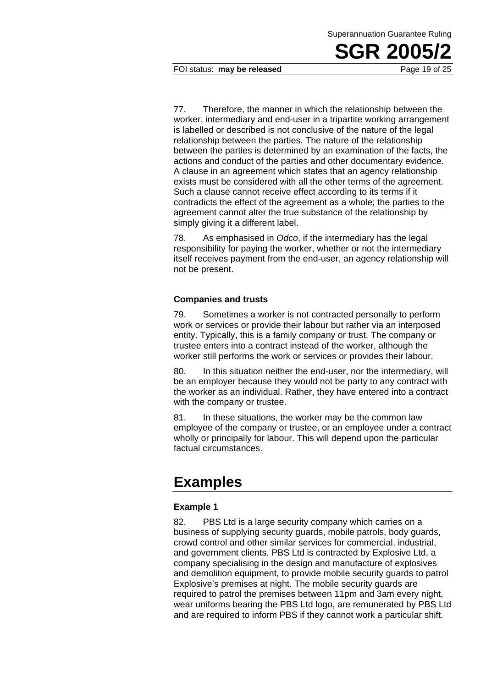### FOI status: **may be released** Page 19 of 25

77. Therefore, the manner in which the relationship between the worker, intermediary and end-user in a tripartite working arrangement is labelled or described is not conclusive of the nature of the legal relationship between the parties. The nature of the relationship between the parties is determined by an examination of the facts, the actions and conduct of the parties and other documentary evidence. A clause in an agreement which states that an agency relationship exists must be considered with all the other terms of the agreement. Such a clause cannot receive effect according to its terms if it contradicts the effect of the agreement as a whole; the parties to the agreement cannot alter the true substance of the relationship by simply giving it a different label.

78. As emphasised in *Odco*, if the intermediary has the legal responsibility for paying the worker, whether or not the intermediary itself receives payment from the end-user, an agency relationship will not be present.

### **Companies and trusts**

79. Sometimes a worker is not contracted personally to perform work or services or provide their labour but rather via an interposed entity. Typically, this is a family company or trust. The company or trustee enters into a contract instead of the worker, although the worker still performs the work or services or provides their labour.

80. In this situation neither the end-user, nor the intermediary, will be an employer because they would not be party to any contract with the worker as an individual. Rather, they have entered into a contract with the company or trustee.

81. In these situations, the worker may be the common law employee of the company or trustee, or an employee under a contract wholly or principally for labour. This will depend upon the particular factual circumstances.

### **Examples**

### **Example 1**

82. PBS Ltd is a large security company which carries on a business of supplying security guards, mobile patrols, body guards, crowd control and other similar services for commercial, industrial, and government clients. PBS Ltd is contracted by Explosive Ltd, a company specialising in the design and manufacture of explosives and demolition equipment, to provide mobile security guards to patrol Explosive's premises at night. The mobile security guards are required to patrol the premises between 11pm and 3am every night, wear uniforms bearing the PBS Ltd logo, are remunerated by PBS Ltd and are required to inform PBS if they cannot work a particular shift.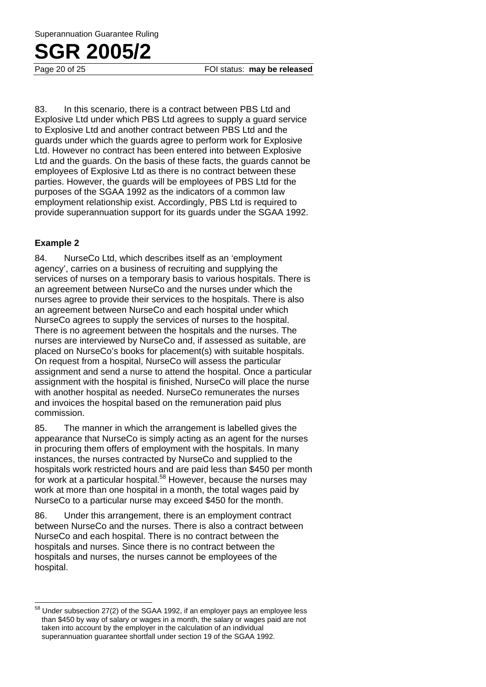83. In this scenario, there is a contract between PBS Ltd and Explosive Ltd under which PBS Ltd agrees to supply a guard service to Explosive Ltd and another contract between PBS Ltd and the guards under which the guards agree to perform work for Explosive Ltd. However no contract has been entered into between Explosive Ltd and the guards. On the basis of these facts, the guards cannot be employees of Explosive Ltd as there is no contract between these parties. However, the guards will be employees of PBS Ltd for the purposes of the SGAA 1992 as the indicators of a common law employment relationship exist. Accordingly, PBS Ltd is required to provide superannuation support for its guards under the SGAA 1992.

### **Example 2**

 $\overline{a}$ 

84. NurseCo Ltd, which describes itself as an 'employment agency', carries on a business of recruiting and supplying the services of nurses on a temporary basis to various hospitals. There is an agreement between NurseCo and the nurses under which the nurses agree to provide their services to the hospitals. There is also an agreement between NurseCo and each hospital under which NurseCo agrees to supply the services of nurses to the hospital. There is no agreement between the hospitals and the nurses. The nurses are interviewed by NurseCo and, if assessed as suitable, are placed on NurseCo's books for placement(s) with suitable hospitals. On request from a hospital, NurseCo will assess the particular assignment and send a nurse to attend the hospital. Once a particular assignment with the hospital is finished, NurseCo will place the nurse with another hospital as needed. NurseCo remunerates the nurses and invoices the hospital based on the remuneration paid plus commission.

85. The manner in which the arrangement is labelled gives the appearance that NurseCo is simply acting as an agent for the nurses in procuring them offers of employment with the hospitals. In many instances, the nurses contracted by NurseCo and supplied to the hospitals work restricted hours and are paid less than \$450 per month for work at a particular hospital.<sup>58</sup> However, because the nurses may work at more than one hospital in a month, the total wages paid by NurseCo to a particular nurse may exceed \$450 for the month.

86. Under this arrangement, there is an employment contract between NurseCo and the nurses. There is also a contract between NurseCo and each hospital. There is no contract between the hospitals and nurses. Since there is no contract between the hospitals and nurses, the nurses cannot be employees of the hospital.

 $58$  Under subsection 27(2) of the SGAA 1992, if an employer pays an employee less than \$450 by way of salary or wages in a month, the salary or wages paid are not taken into account by the employer in the calculation of an individual superannuation guarantee shortfall under section 19 of the SGAA 1992.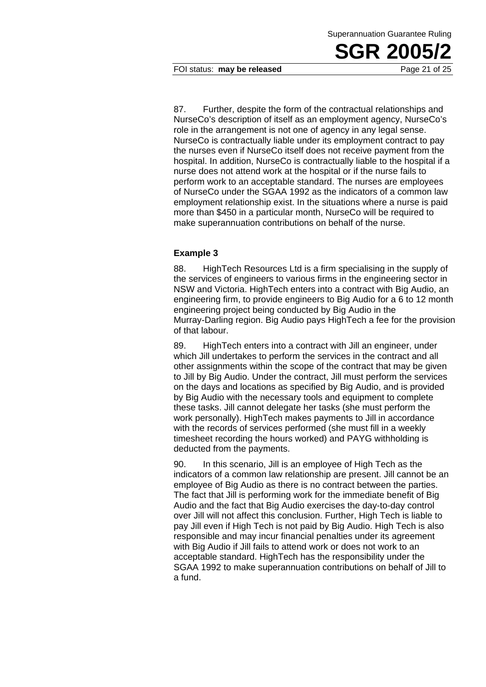#### FOI status: **may be released** Page 21 of 25

87. Further, despite the form of the contractual relationships and NurseCo's description of itself as an employment agency, NurseCo's role in the arrangement is not one of agency in any legal sense. NurseCo is contractually liable under its employment contract to pay the nurses even if NurseCo itself does not receive payment from the hospital. In addition, NurseCo is contractually liable to the hospital if a nurse does not attend work at the hospital or if the nurse fails to perform work to an acceptable standard. The nurses are employees of NurseCo under the SGAA 1992 as the indicators of a common law employment relationship exist. In the situations where a nurse is paid more than \$450 in a particular month, NurseCo will be required to make superannuation contributions on behalf of the nurse.

### **Example 3**

88. HighTech Resources Ltd is a firm specialising in the supply of the services of engineers to various firms in the engineering sector in NSW and Victoria. HighTech enters into a contract with Big Audio, an engineering firm, to provide engineers to Big Audio for a 6 to 12 month engineering project being conducted by Big Audio in the Murray-Darling region. Big Audio pays HighTech a fee for the provision of that labour.

89. HighTech enters into a contract with Jill an engineer, under which Jill undertakes to perform the services in the contract and all other assignments within the scope of the contract that may be given to Jill by Big Audio. Under the contract, Jill must perform the services on the days and locations as specified by Big Audio, and is provided by Big Audio with the necessary tools and equipment to complete these tasks. Jill cannot delegate her tasks (she must perform the work personally). HighTech makes payments to Jill in accordance with the records of services performed (she must fill in a weekly timesheet recording the hours worked) and PAYG withholding is deducted from the payments.

90. In this scenario, Jill is an employee of High Tech as the indicators of a common law relationship are present. Jill cannot be an employee of Big Audio as there is no contract between the parties. The fact that Jill is performing work for the immediate benefit of Big Audio and the fact that Big Audio exercises the day-to-day control over Jill will not affect this conclusion. Further, High Tech is liable to pay Jill even if High Tech is not paid by Big Audio. High Tech is also responsible and may incur financial penalties under its agreement with Big Audio if Jill fails to attend work or does not work to an acceptable standard. HighTech has the responsibility under the SGAA 1992 to make superannuation contributions on behalf of Jill to a fund.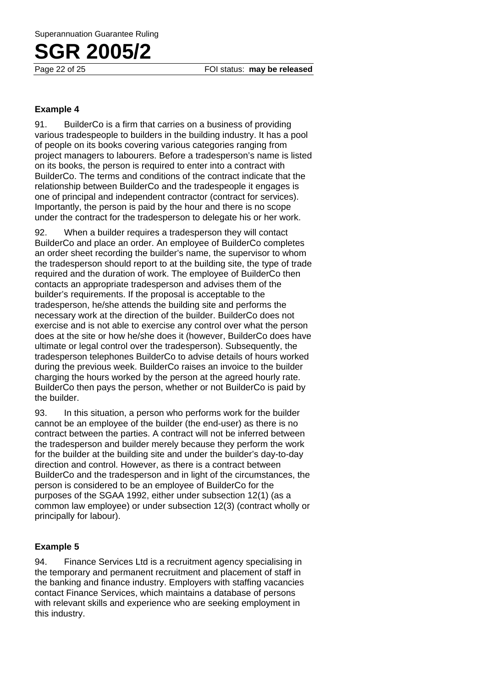### **Example 4**

91. BuilderCo is a firm that carries on a business of providing various tradespeople to builders in the building industry. It has a pool of people on its books covering various categories ranging from project managers to labourers. Before a tradesperson's name is listed on its books, the person is required to enter into a contract with BuilderCo. The terms and conditions of the contract indicate that the relationship between BuilderCo and the tradespeople it engages is one of principal and independent contractor (contract for services). Importantly, the person is paid by the hour and there is no scope under the contract for the tradesperson to delegate his or her work.

92. When a builder requires a tradesperson they will contact BuilderCo and place an order. An employee of BuilderCo completes an order sheet recording the builder's name, the supervisor to whom the tradesperson should report to at the building site, the type of trade required and the duration of work. The employee of BuilderCo then contacts an appropriate tradesperson and advises them of the builder's requirements. If the proposal is acceptable to the tradesperson, he/she attends the building site and performs the necessary work at the direction of the builder. BuilderCo does not exercise and is not able to exercise any control over what the person does at the site or how he/she does it (however, BuilderCo does have ultimate or legal control over the tradesperson). Subsequently, the tradesperson telephones BuilderCo to advise details of hours worked during the previous week. BuilderCo raises an invoice to the builder charging the hours worked by the person at the agreed hourly rate. BuilderCo then pays the person, whether or not BuilderCo is paid by the builder.

93. In this situation, a person who performs work for the builder cannot be an employee of the builder (the end-user) as there is no contract between the parties. A contract will not be inferred between the tradesperson and builder merely because they perform the work for the builder at the building site and under the builder's day-to-day direction and control. However, as there is a contract between BuilderCo and the tradesperson and in light of the circumstances, the person is considered to be an employee of BuilderCo for the purposes of the SGAA 1992, either under subsection 12(1) (as a common law employee) or under subsection 12(3) (contract wholly or principally for labour).

### **Example 5**

94. Finance Services Ltd is a recruitment agency specialising in the temporary and permanent recruitment and placement of staff in the banking and finance industry. Employers with staffing vacancies contact Finance Services, which maintains a database of persons with relevant skills and experience who are seeking employment in this industry.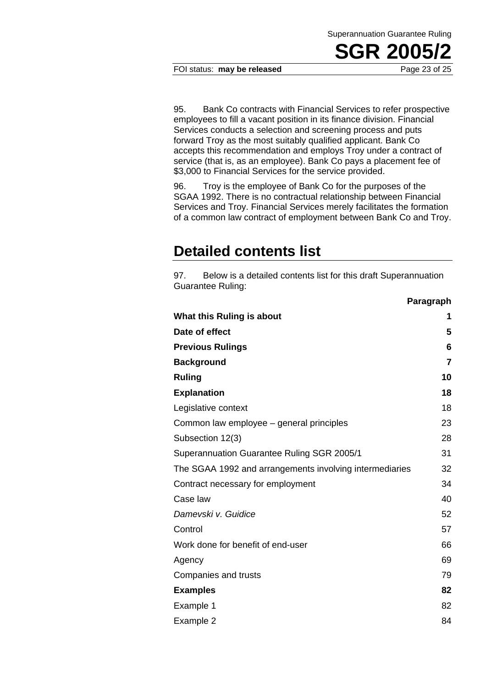FOI status: **may be released** Page 23 of 25

95. Bank Co contracts with Financial Services to refer prospective employees to fill a vacant position in its finance division. Financial Services conducts a selection and screening process and puts forward Troy as the most suitably qualified applicant. Bank Co accepts this recommendation and employs Troy under a contract of service (that is, as an employee). Bank Co pays a placement fee of \$3,000 to Financial Services for the service provided.

96. Troy is the employee of Bank Co for the purposes of the SGAA 1992. There is no contractual relationship between Financial Services and Troy. Financial Services merely facilitates the formation of a common law contract of employment between Bank Co and Troy.

### **Detailed contents list**

97. Below is a detailed contents list for this draft Superannuation Guarantee Ruling:

|                                                         | Paragraph      |
|---------------------------------------------------------|----------------|
| What this Ruling is about                               | 1              |
| Date of effect                                          | 5              |
| <b>Previous Rulings</b>                                 | 6              |
| <b>Background</b>                                       | $\overline{7}$ |
| <b>Ruling</b>                                           | 10             |
| <b>Explanation</b>                                      | 18             |
| Legislative context                                     | 18             |
| Common law employee – general principles                | 23             |
| Subsection 12(3)                                        | 28             |
| Superannuation Guarantee Ruling SGR 2005/1              | 31             |
| The SGAA 1992 and arrangements involving intermediaries | 32             |
| Contract necessary for employment                       | 34             |
| Case law                                                | 40             |
| Damevski v. Guidice                                     | 52             |
| Control                                                 | 57             |
| Work done for benefit of end-user                       | 66             |
| Agency                                                  | 69             |
| Companies and trusts                                    | 79             |
| <b>Examples</b>                                         | 82             |
| Example 1                                               | 82             |
| Example 2                                               | 84             |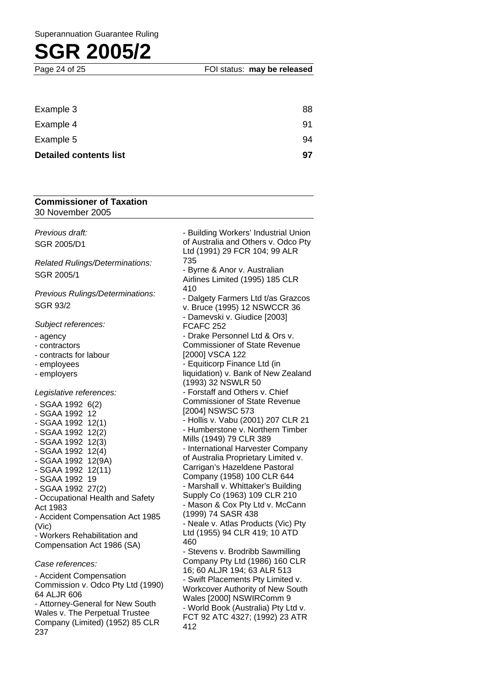| <b>Detailed contents list</b> | 97 |
|-------------------------------|----|
| Example 5                     | 94 |
| Example 4                     | 91 |
| Example 3                     | 88 |

### **Commissioner of Taxation** 30 November 2005

*Previous draft:*  SGR 2005/D1

*Related Rulings/Determinations:*  SGR 2005/1

*Previous Rulings/Determinations:*  SGR 93/2

*Subject references:* 

- agency

- contractors

- contracts for labour

- employees

- employers

*Legislative references:* 

- SGAA 1992 6(2) - SGAA 1992 12 - SGAA 1992 12(1) - SGAA 1992 12(2) - SGAA 1992 12(3) - SGAA 1992 12(4) - SGAA 1992 12(9A) - SGAA 1992 12(11) - SGAA 1992 19 - SGAA 1992 27(2) - Occupational Health and Safety Act 1983 - Accident Compensation Act 1985 (Vic) - Workers Rehabilitation and Compensation Act 1986 (SA) *Case references:* 

- Accident Compensation Commission v. Odco Pty Ltd (1990) 64 ALJR 606

- Attorney-General for New South Wales v. The Perpetual Trustee Company (Limited) (1952) 85 CLR 237

- Building Workers' Industrial Union of Australia and Others v. Odco Pty Ltd (1991) 29 FCR 104; 99 ALR 735 - Byrne & Anor v. Australian Airlines Limited (1995) 185 CLR 410 - Dalgety Farmers Ltd t/as Grazcos v. Bruce (1995) 12 NSWCCR 36 - Damevski v. Giudice [2003] FCAFC 252 - Drake Personnel Ltd & Ors v. Commissioner of State Revenue [2000] VSCA 122 Equiticorp Finance Ltd (in liquidation) v. Bank of New Zealand (1993) 32 NSWLR 50 - Forstaff and Others v. Chief Commissioner of State Revenue [2004] NSWSC 573 - Hollis v. Vabu (2001) 207 CLR 21 - Humberstone v. Northern Timber Mills (1949) 79 CLR 389 - International Harvester Company of Australia Proprietary Limited v. Carrigan's Hazeldene Pastoral Company (1958) 100 CLR 644 - Marshall v. Whittaker's Building Supply Co (1963) 109 CLR 210 - Mason & Cox Pty Ltd v. McCann (1999) 74 SASR 438 - Neale v. Atlas Products (Vic) Pty Ltd (1955) 94 CLR 419; 10 ATD 460 - Stevens v. Brodribb Sawmilling Company Pty Ltd (1986) 160 CLR 16; 60 ALJR 194; 63 ALR 513 - Swift Placements Pty Limited v. Workcover Authority of New South Wales [2000] NSWIRComm 9 - World Book (Australia) Pty Ltd v. FCT 92 ATC 4327; (1992) 23 ATR 412